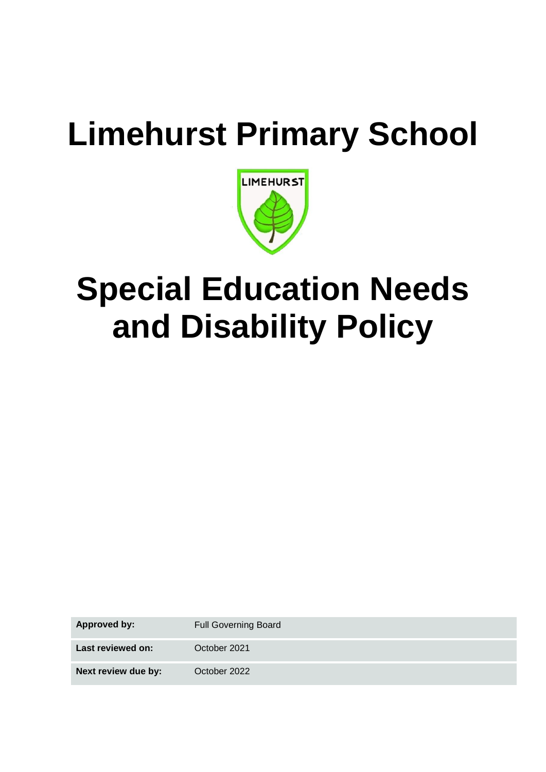# **Limehurst Primary School**



## **Special Education Needs and Disability Policy**

**Approved by:** Full Governing Board **Last reviewed on:** October 2021 **Next review due by:** October 2022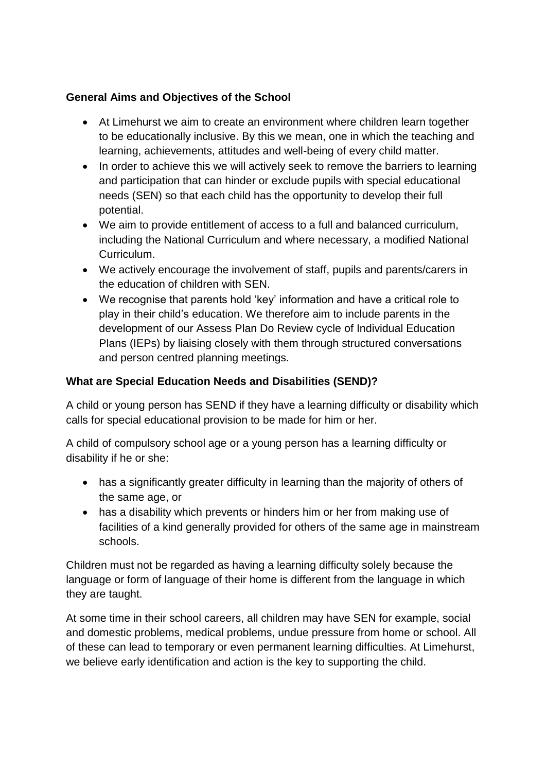## **General Aims and Objectives of the School**

- At Limehurst we aim to create an environment where children learn together to be educationally inclusive. By this we mean, one in which the teaching and learning, achievements, attitudes and well-being of every child matter.
- In order to achieve this we will actively seek to remove the barriers to learning and participation that can hinder or exclude pupils with special educational needs (SEN) so that each child has the opportunity to develop their full potential.
- We aim to provide entitlement of access to a full and balanced curriculum, including the National Curriculum and where necessary, a modified National Curriculum.
- We actively encourage the involvement of staff, pupils and parents/carers in the education of children with SEN.
- We recognise that parents hold 'key' information and have a critical role to play in their child's education. We therefore aim to include parents in the development of our Assess Plan Do Review cycle of Individual Education Plans (IEPs) by liaising closely with them through structured conversations and person centred planning meetings.

## **What are Special Education Needs and Disabilities (SEND)?**

A child or young person has SEND if they have a learning difficulty or disability which calls for special educational provision to be made for him or her.

A child of compulsory school age or a young person has a learning difficulty or disability if he or she:

- has a significantly greater difficulty in learning than the majority of others of the same age, or
- has a disability which prevents or hinders him or her from making use of facilities of a kind generally provided for others of the same age in mainstream schools.

Children must not be regarded as having a learning difficulty solely because the language or form of language of their home is different from the language in which they are taught.

At some time in their school careers, all children may have SEN for example, social and domestic problems, medical problems, undue pressure from home or school. All of these can lead to temporary or even permanent learning difficulties. At Limehurst, we believe early identification and action is the key to supporting the child.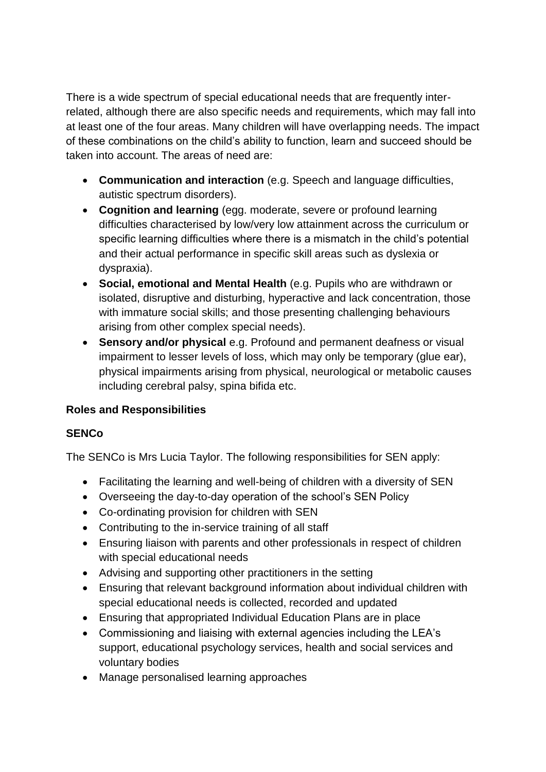There is a wide spectrum of special educational needs that are frequently interrelated, although there are also specific needs and requirements, which may fall into at least one of the four areas. Many children will have overlapping needs. The impact of these combinations on the child's ability to function, learn and succeed should be taken into account. The areas of need are:

- **Communication and interaction** (e.g. Speech and language difficulties, autistic spectrum disorders).
- **Cognition and learning** (egg. moderate, severe or profound learning difficulties characterised by low/very low attainment across the curriculum or specific learning difficulties where there is a mismatch in the child's potential and their actual performance in specific skill areas such as dyslexia or dyspraxia).
- **Social, emotional and Mental Health** (e.g. Pupils who are withdrawn or isolated, disruptive and disturbing, hyperactive and lack concentration, those with immature social skills; and those presenting challenging behaviours arising from other complex special needs).
- **Sensory and/or physical** e.g. Profound and permanent deafness or visual impairment to lesser levels of loss, which may only be temporary (glue ear), physical impairments arising from physical, neurological or metabolic causes including cerebral palsy, spina bifida etc.

## **Roles and Responsibilities**

## **SENCo**

The SENCo is Mrs Lucia Taylor. The following responsibilities for SEN apply:

- Facilitating the learning and well-being of children with a diversity of SEN
- Overseeing the day-to-day operation of the school's SEN Policy
- Co-ordinating provision for children with SEN
- Contributing to the in-service training of all staff
- Ensuring liaison with parents and other professionals in respect of children with special educational needs
- Advising and supporting other practitioners in the setting
- Ensuring that relevant background information about individual children with special educational needs is collected, recorded and updated
- Ensuring that appropriated Individual Education Plans are in place
- Commissioning and liaising with external agencies including the LEA's support, educational psychology services, health and social services and voluntary bodies
- Manage personalised learning approaches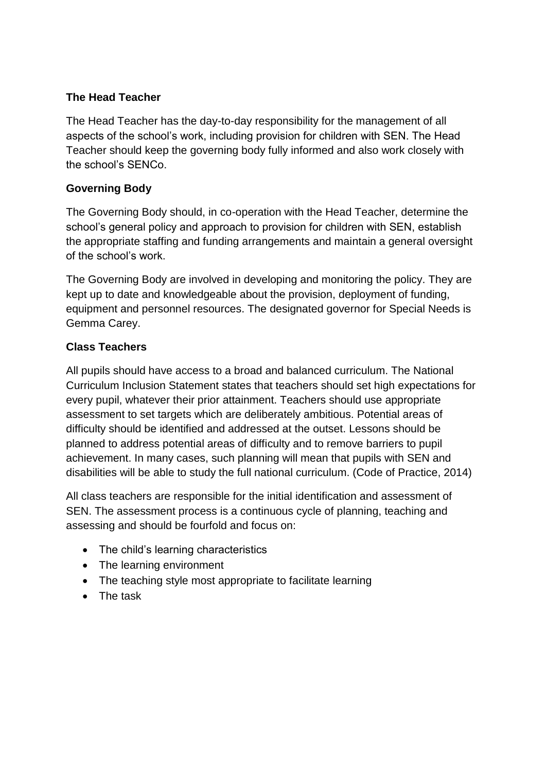## **The Head Teacher**

The Head Teacher has the day-to-day responsibility for the management of all aspects of the school's work, including provision for children with SEN. The Head Teacher should keep the governing body fully informed and also work closely with the school's SENCo.

### **Governing Body**

The Governing Body should, in co-operation with the Head Teacher, determine the school's general policy and approach to provision for children with SEN, establish the appropriate staffing and funding arrangements and maintain a general oversight of the school's work.

The Governing Body are involved in developing and monitoring the policy. They are kept up to date and knowledgeable about the provision, deployment of funding, equipment and personnel resources. The designated governor for Special Needs is Gemma Carey.

## **Class Teachers**

All pupils should have access to a broad and balanced curriculum. The National Curriculum Inclusion Statement states that teachers should set high expectations for every pupil, whatever their prior attainment. Teachers should use appropriate assessment to set targets which are deliberately ambitious. Potential areas of difficulty should be identified and addressed at the outset. Lessons should be planned to address potential areas of difficulty and to remove barriers to pupil achievement. In many cases, such planning will mean that pupils with SEN and disabilities will be able to study the full national curriculum. (Code of Practice, 2014)

All class teachers are responsible for the initial identification and assessment of SEN. The assessment process is a continuous cycle of planning, teaching and assessing and should be fourfold and focus on:

- The child's learning characteristics
- The learning environment
- The teaching style most appropriate to facilitate learning
- The task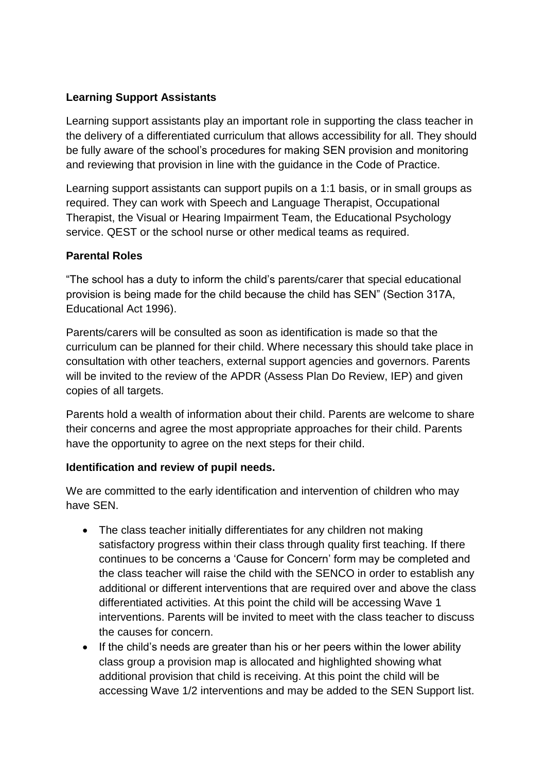## **Learning Support Assistants**

Learning support assistants play an important role in supporting the class teacher in the delivery of a differentiated curriculum that allows accessibility for all. They should be fully aware of the school's procedures for making SEN provision and monitoring and reviewing that provision in line with the guidance in the Code of Practice.

Learning support assistants can support pupils on a 1:1 basis, or in small groups as required. They can work with Speech and Language Therapist, Occupational Therapist, the Visual or Hearing Impairment Team, the Educational Psychology service. QEST or the school nurse or other medical teams as required.

#### **Parental Roles**

"The school has a duty to inform the child's parents/carer that special educational provision is being made for the child because the child has SEN" (Section 317A, Educational Act 1996).

Parents/carers will be consulted as soon as identification is made so that the curriculum can be planned for their child. Where necessary this should take place in consultation with other teachers, external support agencies and governors. Parents will be invited to the review of the APDR (Assess Plan Do Review, IEP) and given copies of all targets.

Parents hold a wealth of information about their child. Parents are welcome to share their concerns and agree the most appropriate approaches for their child. Parents have the opportunity to agree on the next steps for their child.

#### **Identification and review of pupil needs.**

We are committed to the early identification and intervention of children who may have SEN.

- The class teacher initially differentiates for any children not making satisfactory progress within their class through quality first teaching. If there continues to be concerns a 'Cause for Concern' form may be completed and the class teacher will raise the child with the SENCO in order to establish any additional or different interventions that are required over and above the class differentiated activities. At this point the child will be accessing Wave 1 interventions. Parents will be invited to meet with the class teacher to discuss the causes for concern.
- If the child's needs are greater than his or her peers within the lower ability class group a provision map is allocated and highlighted showing what additional provision that child is receiving. At this point the child will be accessing Wave 1/2 interventions and may be added to the SEN Support list.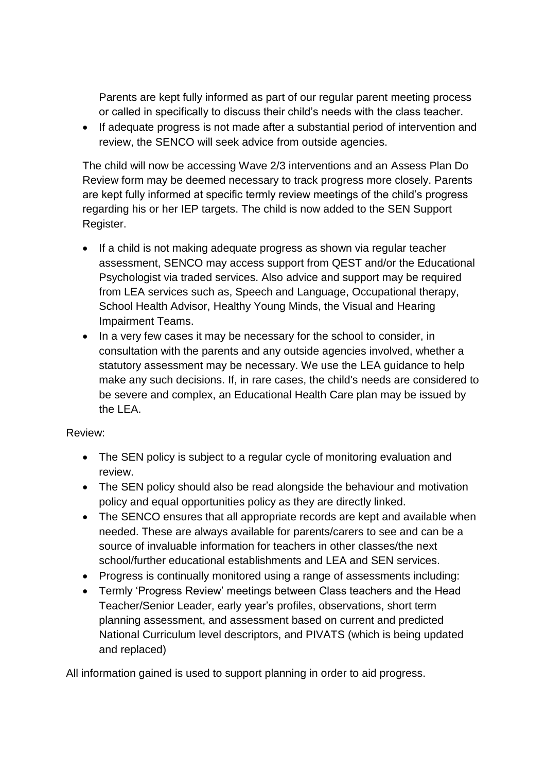Parents are kept fully informed as part of our regular parent meeting process or called in specifically to discuss their child's needs with the class teacher.

• If adequate progress is not made after a substantial period of intervention and review, the SENCO will seek advice from outside agencies.

The child will now be accessing Wave 2/3 interventions and an Assess Plan Do Review form may be deemed necessary to track progress more closely. Parents are kept fully informed at specific termly review meetings of the child's progress regarding his or her IEP targets. The child is now added to the SEN Support Register.

- If a child is not making adequate progress as shown via regular teacher assessment, SENCO may access support from QEST and/or the Educational Psychologist via traded services. Also advice and support may be required from LEA services such as, Speech and Language, Occupational therapy, School Health Advisor, Healthy Young Minds, the Visual and Hearing Impairment Teams.
- In a very few cases it may be necessary for the school to consider, in consultation with the parents and any outside agencies involved, whether a statutory assessment may be necessary. We use the LEA guidance to help make any such decisions. If, in rare cases, the child's needs are considered to be severe and complex, an Educational Health Care plan may be issued by the LEA.

#### Review:

- The SEN policy is subject to a regular cycle of monitoring evaluation and review.
- The SEN policy should also be read alongside the behaviour and motivation policy and equal opportunities policy as they are directly linked.
- The SENCO ensures that all appropriate records are kept and available when needed. These are always available for parents/carers to see and can be a source of invaluable information for teachers in other classes/the next school/further educational establishments and LEA and SEN services.
- Progress is continually monitored using a range of assessments including:
- Termly 'Progress Review' meetings between Class teachers and the Head Teacher/Senior Leader, early year's profiles, observations, short term planning assessment, and assessment based on current and predicted National Curriculum level descriptors, and PIVATS (which is being updated and replaced)

All information gained is used to support planning in order to aid progress.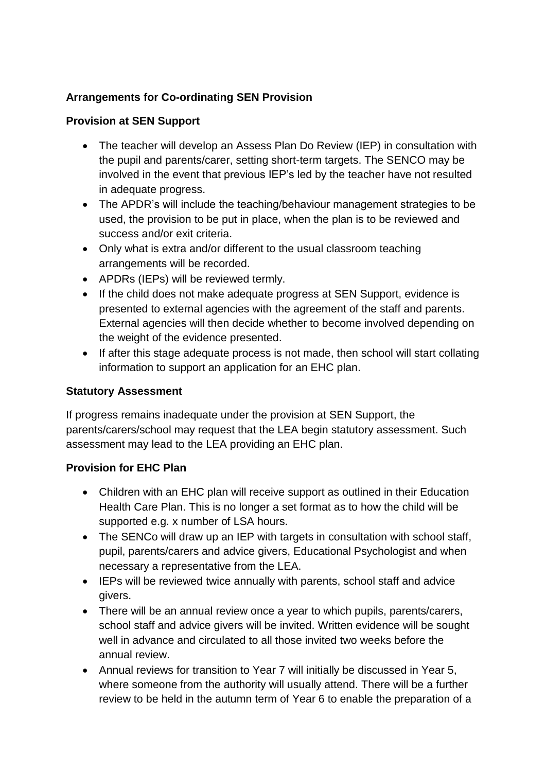## **Arrangements for Co-ordinating SEN Provision**

### **Provision at SEN Support**

- The teacher will develop an Assess Plan Do Review (IEP) in consultation with the pupil and parents/carer, setting short-term targets. The SENCO may be involved in the event that previous IEP's led by the teacher have not resulted in adequate progress.
- The APDR's will include the teaching/behaviour management strategies to be used, the provision to be put in place, when the plan is to be reviewed and success and/or exit criteria.
- Only what is extra and/or different to the usual classroom teaching arrangements will be recorded.
- APDRs (IEPs) will be reviewed termly.
- If the child does not make adequate progress at SEN Support, evidence is presented to external agencies with the agreement of the staff and parents. External agencies will then decide whether to become involved depending on the weight of the evidence presented.
- If after this stage adequate process is not made, then school will start collating information to support an application for an EHC plan.

## **Statutory Assessment**

If progress remains inadequate under the provision at SEN Support, the parents/carers/school may request that the LEA begin statutory assessment. Such assessment may lead to the LEA providing an EHC plan.

#### **Provision for EHC Plan**

- Children with an EHC plan will receive support as outlined in their Education Health Care Plan. This is no longer a set format as to how the child will be supported e.g. x number of LSA hours.
- The SENCo will draw up an IEP with targets in consultation with school staff, pupil, parents/carers and advice givers, Educational Psychologist and when necessary a representative from the LEA.
- IEPs will be reviewed twice annually with parents, school staff and advice givers.
- There will be an annual review once a year to which pupils, parents/carers, school staff and advice givers will be invited. Written evidence will be sought well in advance and circulated to all those invited two weeks before the annual review.
- Annual reviews for transition to Year 7 will initially be discussed in Year 5, where someone from the authority will usually attend. There will be a further review to be held in the autumn term of Year 6 to enable the preparation of a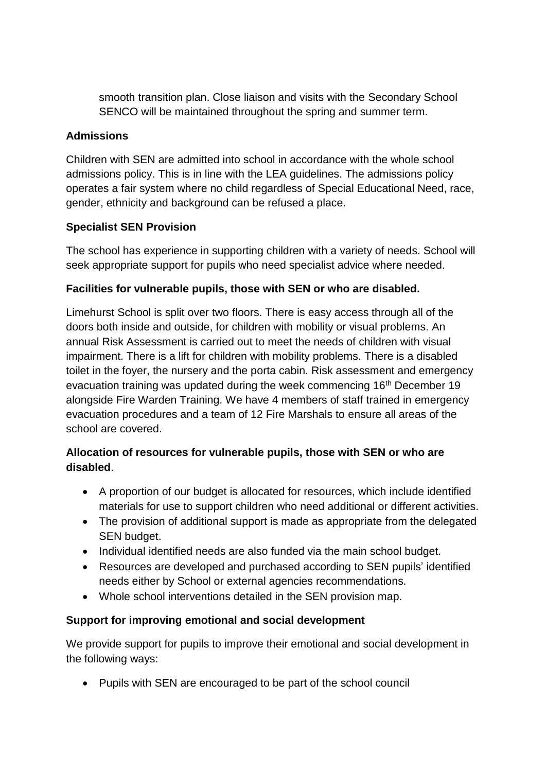smooth transition plan. Close liaison and visits with the Secondary School SENCO will be maintained throughout the spring and summer term.

### **Admissions**

Children with SEN are admitted into school in accordance with the whole school admissions policy. This is in line with the LEA guidelines. The admissions policy operates a fair system where no child regardless of Special Educational Need, race, gender, ethnicity and background can be refused a place.

## **Specialist SEN Provision**

The school has experience in supporting children with a variety of needs. School will seek appropriate support for pupils who need specialist advice where needed.

## **Facilities for vulnerable pupils, those with SEN or who are disabled.**

Limehurst School is split over two floors. There is easy access through all of the doors both inside and outside, for children with mobility or visual problems. An annual Risk Assessment is carried out to meet the needs of children with visual impairment. There is a lift for children with mobility problems. There is a disabled toilet in the foyer, the nursery and the porta cabin. Risk assessment and emergency evacuation training was updated during the week commencing 16<sup>th</sup> December 19 alongside Fire Warden Training. We have 4 members of staff trained in emergency evacuation procedures and a team of 12 Fire Marshals to ensure all areas of the school are covered.

## **Allocation of resources for vulnerable pupils, those with SEN or who are disabled**.

- A proportion of our budget is allocated for resources, which include identified materials for use to support children who need additional or different activities.
- The provision of additional support is made as appropriate from the delegated SEN budget.
- Individual identified needs are also funded via the main school budget.
- Resources are developed and purchased according to SEN pupils' identified needs either by School or external agencies recommendations.
- Whole school interventions detailed in the SEN provision map.

#### **Support for improving emotional and social development**

We provide support for pupils to improve their emotional and social development in the following ways:

Pupils with SEN are encouraged to be part of the school council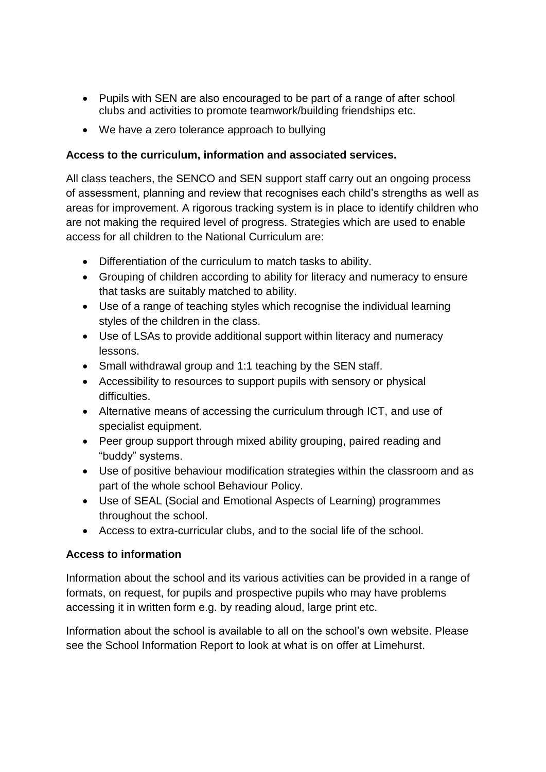- Pupils with SEN are also encouraged to be part of a range of after school clubs and activities to promote teamwork/building friendships etc.
- We have a zero tolerance approach to bullying

### **Access to the curriculum, information and associated services.**

All class teachers, the SENCO and SEN support staff carry out an ongoing process of assessment, planning and review that recognises each child's strengths as well as areas for improvement. A rigorous tracking system is in place to identify children who are not making the required level of progress. Strategies which are used to enable access for all children to the National Curriculum are:

- Differentiation of the curriculum to match tasks to ability.
- Grouping of children according to ability for literacy and numeracy to ensure that tasks are suitably matched to ability.
- Use of a range of teaching styles which recognise the individual learning styles of the children in the class.
- Use of LSAs to provide additional support within literacy and numeracy lessons.
- Small withdrawal group and 1:1 teaching by the SEN staff.
- Accessibility to resources to support pupils with sensory or physical difficulties.
- Alternative means of accessing the curriculum through ICT, and use of specialist equipment.
- Peer group support through mixed ability grouping, paired reading and "buddy" systems.
- Use of positive behaviour modification strategies within the classroom and as part of the whole school Behaviour Policy.
- Use of SEAL (Social and Emotional Aspects of Learning) programmes throughout the school.
- Access to extra-curricular clubs, and to the social life of the school.

## **Access to information**

Information about the school and its various activities can be provided in a range of formats, on request, for pupils and prospective pupils who may have problems accessing it in written form e.g. by reading aloud, large print etc.

Information about the school is available to all on the school's own website. Please see the School Information Report to look at what is on offer at Limehurst.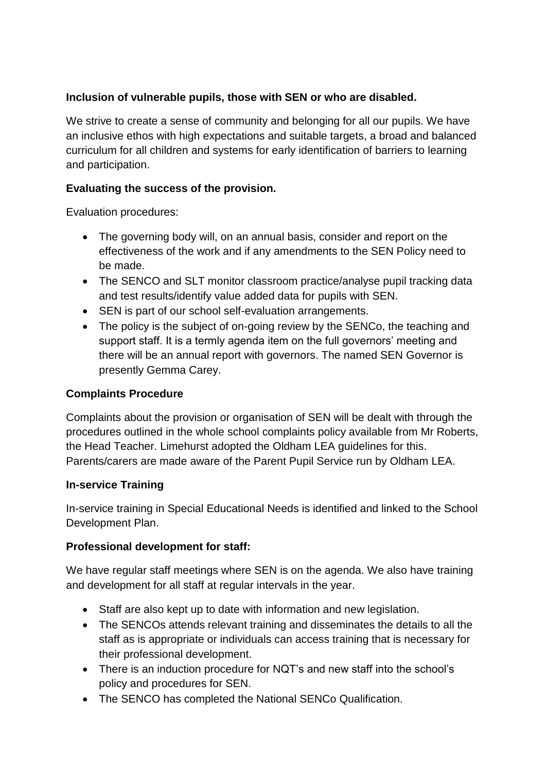## **Inclusion of vulnerable pupils, those with SEN or who are disabled.**

We strive to create a sense of community and belonging for all our pupils. We have an inclusive ethos with high expectations and suitable targets, a broad and balanced curriculum for all children and systems for early identification of barriers to learning and participation.

## **Evaluating the success of the provision.**

Evaluation procedures:

- The governing body will, on an annual basis, consider and report on the effectiveness of the work and if any amendments to the SEN Policy need to be made.
- The SENCO and SLT monitor classroom practice/analyse pupil tracking data and test results/identify value added data for pupils with SEN.
- SEN is part of our school self-evaluation arrangements.
- The policy is the subject of on-going review by the SENCo, the teaching and support staff. It is a termly agenda item on the full governors' meeting and there will be an annual report with governors. The named SEN Governor is presently Gemma Carey.

#### **Complaints Procedure**

Complaints about the provision or organisation of SEN will be dealt with through the procedures outlined in the whole school complaints policy available from Mr Roberts, the Head Teacher. Limehurst adopted the Oldham LEA guidelines for this. Parents/carers are made aware of the Parent Pupil Service run by Oldham LEA.

#### **In-service Training**

In-service training in Special Educational Needs is identified and linked to the School Development Plan.

#### **Professional development for staff:**

We have regular staff meetings where SEN is on the agenda. We also have training and development for all staff at regular intervals in the year.

- Staff are also kept up to date with information and new legislation.
- The SENCOs attends relevant training and disseminates the details to all the staff as is appropriate or individuals can access training that is necessary for their professional development.
- There is an induction procedure for NQT's and new staff into the school's policy and procedures for SEN.
- The SENCO has completed the National SENCo Qualification.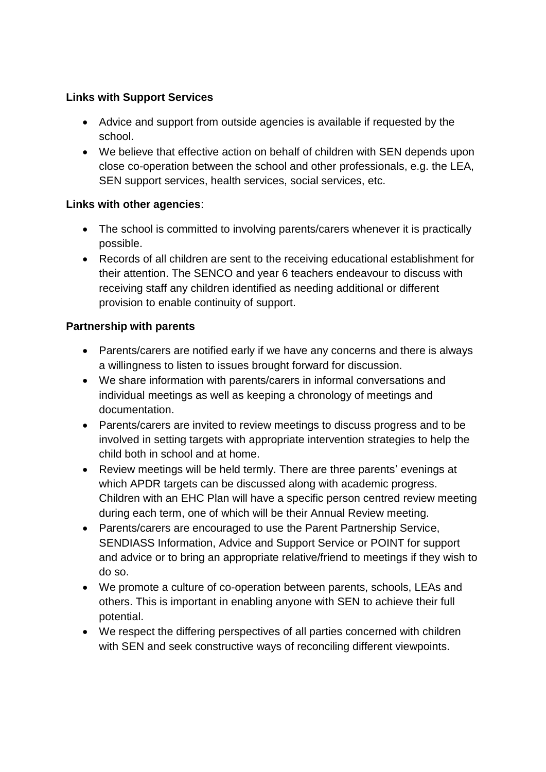## **Links with Support Services**

- Advice and support from outside agencies is available if requested by the school.
- We believe that effective action on behalf of children with SEN depends upon close co-operation between the school and other professionals, e.g. the LEA, SEN support services, health services, social services, etc.

## **Links with other agencies**:

- The school is committed to involving parents/carers whenever it is practically possible.
- Records of all children are sent to the receiving educational establishment for their attention. The SENCO and year 6 teachers endeavour to discuss with receiving staff any children identified as needing additional or different provision to enable continuity of support.

## **Partnership with parents**

- Parents/carers are notified early if we have any concerns and there is always a willingness to listen to issues brought forward for discussion.
- We share information with parents/carers in informal conversations and individual meetings as well as keeping a chronology of meetings and documentation.
- Parents/carers are invited to review meetings to discuss progress and to be involved in setting targets with appropriate intervention strategies to help the child both in school and at home.
- Review meetings will be held termly. There are three parents' evenings at which APDR targets can be discussed along with academic progress. Children with an EHC Plan will have a specific person centred review meeting during each term, one of which will be their Annual Review meeting.
- Parents/carers are encouraged to use the Parent Partnership Service, SENDIASS Information, Advice and Support Service or POINT for support and advice or to bring an appropriate relative/friend to meetings if they wish to do so.
- We promote a culture of co-operation between parents, schools, LEAs and others. This is important in enabling anyone with SEN to achieve their full potential.
- We respect the differing perspectives of all parties concerned with children with SEN and seek constructive ways of reconciling different viewpoints.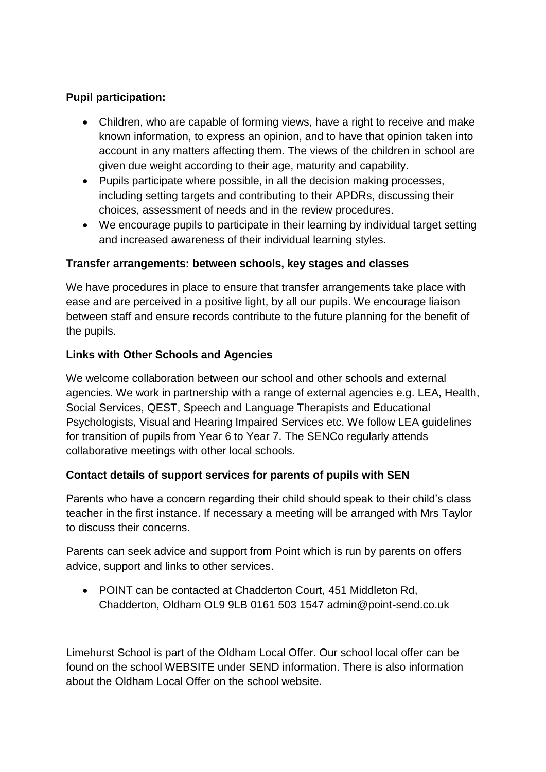## **Pupil participation:**

- Children, who are capable of forming views, have a right to receive and make known information, to express an opinion, and to have that opinion taken into account in any matters affecting them. The views of the children in school are given due weight according to their age, maturity and capability.
- Pupils participate where possible, in all the decision making processes, including setting targets and contributing to their APDRs, discussing their choices, assessment of needs and in the review procedures.
- We encourage pupils to participate in their learning by individual target setting and increased awareness of their individual learning styles.

#### **Transfer arrangements: between schools, key stages and classes**

We have procedures in place to ensure that transfer arrangements take place with ease and are perceived in a positive light, by all our pupils. We encourage liaison between staff and ensure records contribute to the future planning for the benefit of the pupils.

#### **Links with Other Schools and Agencies**

We welcome collaboration between our school and other schools and external agencies. We work in partnership with a range of external agencies e.g. LEA, Health, Social Services, QEST, Speech and Language Therapists and Educational Psychologists, Visual and Hearing Impaired Services etc. We follow LEA guidelines for transition of pupils from Year 6 to Year 7. The SENCo regularly attends collaborative meetings with other local schools.

#### **Contact details of support services for parents of pupils with SEN**

Parents who have a concern regarding their child should speak to their child's class teacher in the first instance. If necessary a meeting will be arranged with Mrs Taylor to discuss their concerns.

Parents can seek advice and support from Point which is run by parents on offers advice, support and links to other services.

• POINT can be contacted at Chadderton Court, 451 Middleton Rd, Chadderton, Oldham OL9 9LB 0161 503 1547 admin@point-send.co.uk

Limehurst School is part of the Oldham Local Offer. Our school local offer can be found on the school WEBSITE under SEND information. There is also information about the Oldham Local Offer on the school website.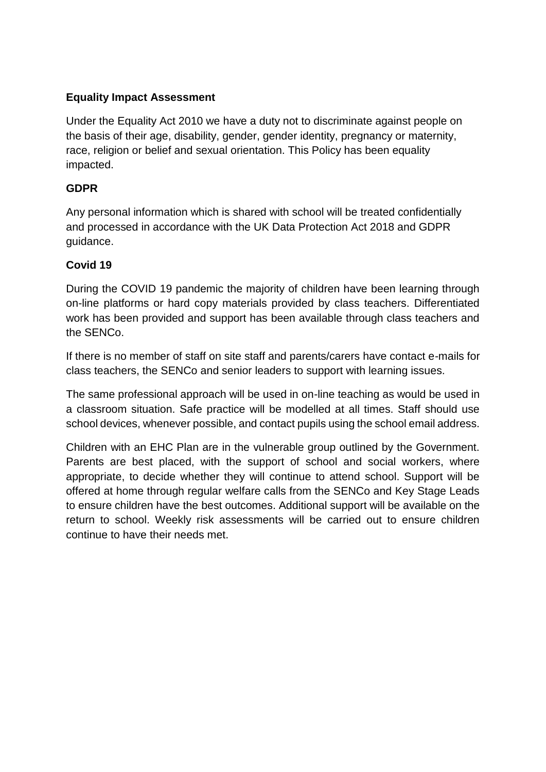### **Equality Impact Assessment**

Under the Equality Act 2010 we have a duty not to discriminate against people on the basis of their age, disability, gender, gender identity, pregnancy or maternity, race, religion or belief and sexual orientation. This Policy has been equality impacted.

### **GDPR**

Any personal information which is shared with school will be treated confidentially and processed in accordance with the UK Data Protection Act 2018 and GDPR guidance.

## **Covid 19**

During the COVID 19 pandemic the majority of children have been learning through on-line platforms or hard copy materials provided by class teachers. Differentiated work has been provided and support has been available through class teachers and the SENCo.

If there is no member of staff on site staff and parents/carers have contact e-mails for class teachers, the SENCo and senior leaders to support with learning issues.

The same professional approach will be used in on-line teaching as would be used in a classroom situation. Safe practice will be modelled at all times. Staff should use school devices, whenever possible, and contact pupils using the school email address.

Children with an EHC Plan are in the vulnerable group outlined by the Government. Parents are best placed, with the support of school and social workers, where appropriate, to decide whether they will continue to attend school. Support will be offered at home through regular welfare calls from the SENCo and Key Stage Leads to ensure children have the best outcomes. Additional support will be available on the return to school. Weekly risk assessments will be carried out to ensure children continue to have their needs met.